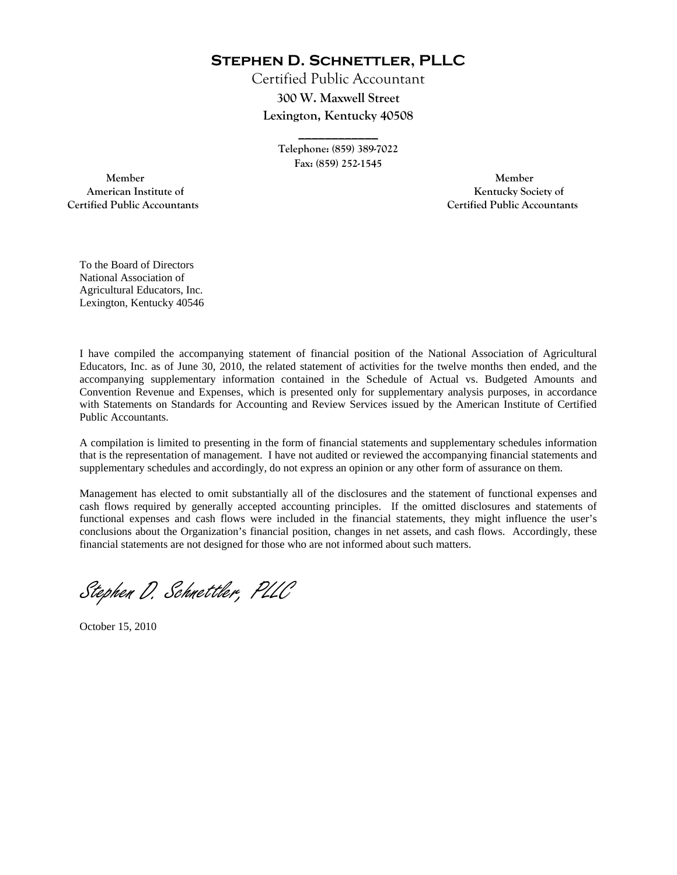**Stephen D. Schnettler, PLLC**

Certified Public Accountant **300 W. Maxwell Street Lexington, Kentucky 40508** 

> **Telephone: (859) 389-7022 Fax: (859) 252-1545**

**\_\_\_\_\_\_\_\_\_\_\_\_** 

 **Member Member Certified Public Accountants Certified Public Accountants** 

American Institute of **Kentucky Society of** 

To the Board of Directors National Association of Agricultural Educators, Inc. Lexington, Kentucky 40546

I have compiled the accompanying statement of financial position of the National Association of Agricultural Educators, Inc. as of June 30, 2010, the related statement of activities for the twelve months then ended, and the accompanying supplementary information contained in the Schedule of Actual vs. Budgeted Amounts and Convention Revenue and Expenses, which is presented only for supplementary analysis purposes, in accordance with Statements on Standards for Accounting and Review Services issued by the American Institute of Certified Public Accountants.

A compilation is limited to presenting in the form of financial statements and supplementary schedules information that is the representation of management. I have not audited or reviewed the accompanying financial statements and supplementary schedules and accordingly, do not express an opinion or any other form of assurance on them.

Management has elected to omit substantially all of the disclosures and the statement of functional expenses and cash flows required by generally accepted accounting principles. If the omitted disclosures and statements of functional expenses and cash flows were included in the financial statements, they might influence the user's conclusions about the Organization's financial position, changes in net assets, and cash flows. Accordingly, these financial statements are not designed for those who are not informed about such matters.

Stephen D. Schnettler, PLLC

October 15, 2010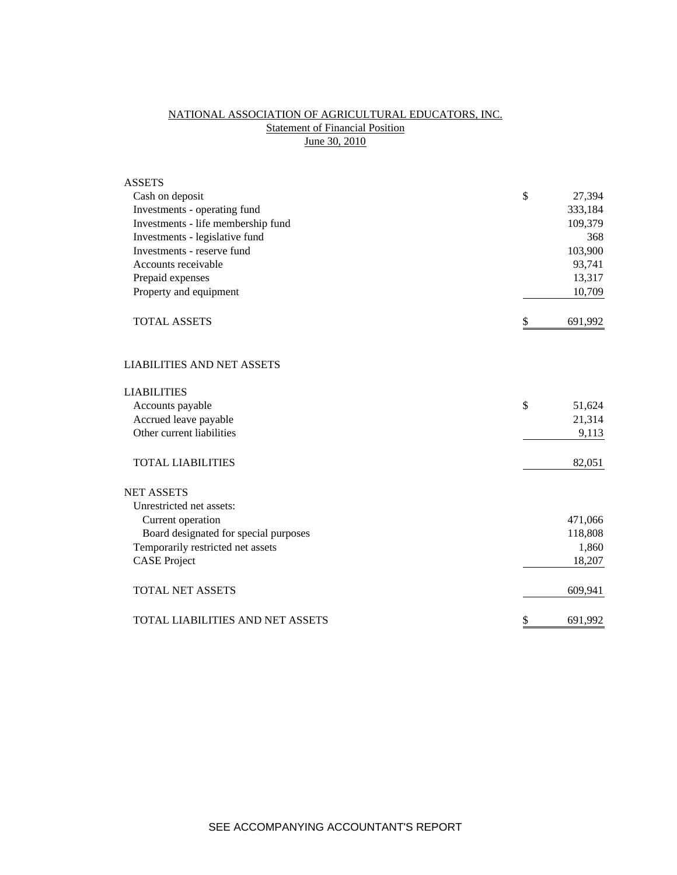# NATIONAL ASSOCIATION OF AGRICULTURAL EDUCATORS, INC. **Statement of Financial Position** June 30, 2010

| <b>ASSETS</b>                         |               |
|---------------------------------------|---------------|
| Cash on deposit                       | \$<br>27,394  |
| Investments - operating fund          | 333,184       |
| Investments - life membership fund    | 109,379       |
| Investments - legislative fund        | 368           |
| Investments - reserve fund            | 103,900       |
| Accounts receivable                   | 93,741        |
| Prepaid expenses                      | 13,317        |
| Property and equipment                | 10,709        |
| <b>TOTAL ASSETS</b>                   | \$<br>691,992 |
| <b>LIABILITIES AND NET ASSETS</b>     |               |
| <b>LIABILITIES</b>                    |               |
| Accounts payable                      | \$<br>51,624  |
| Accrued leave payable                 | 21,314        |
| Other current liabilities             | 9,113         |
| <b>TOTAL LIABILITIES</b>              | 82,051        |
| <b>NET ASSETS</b>                     |               |
| Unrestricted net assets:              |               |
| Current operation                     | 471,066       |
| Board designated for special purposes | 118,808       |
| Temporarily restricted net assets     | 1,860         |
| <b>CASE Project</b>                   | 18,207        |
| <b>TOTAL NET ASSETS</b>               | 609,941       |
| TOTAL LIABILITIES AND NET ASSETS      | \$<br>691,992 |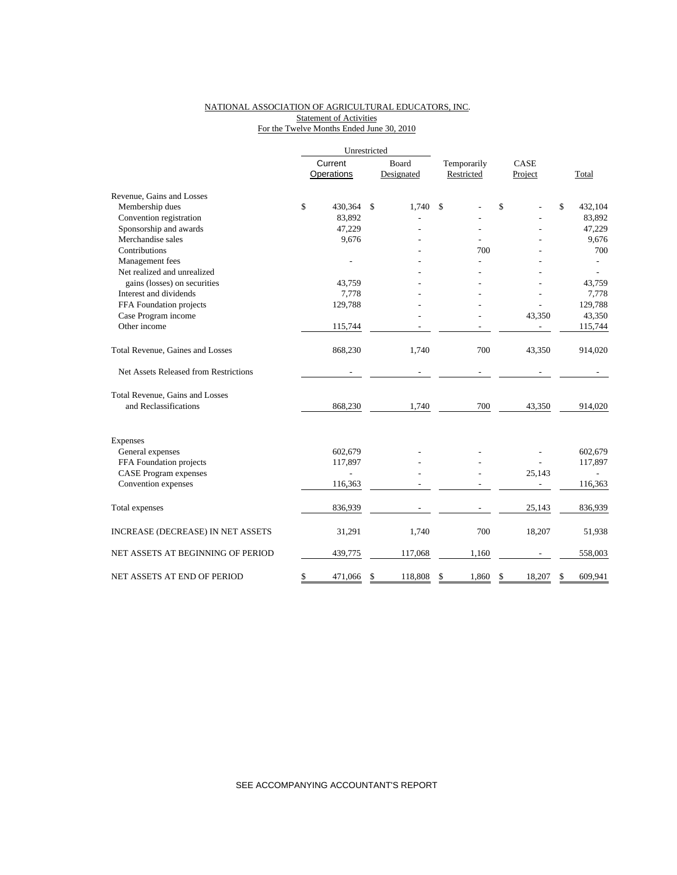### NATIONAL ASSOCIATION OF AGRICULTURAL EDUCATORS, INC. Statement of Activities For the Twelve Months Ended June 30, 2010

|                                       |         | Unrestricted |    |            |             |    |         |               |
|---------------------------------------|---------|--------------|----|------------|-------------|----|---------|---------------|
|                                       | Current |              |    | Board      | Temporarily |    | CASE    |               |
|                                       |         | Operations   |    | Designated | Restricted  |    | Project | Total         |
| Revenue, Gains and Losses             |         |              |    |            |             |    |         |               |
| Membership dues                       | \$      | 430,364      | \$ | 1,740      | \$          | \$ |         | \$<br>432,104 |
| Convention registration               |         | 83,892       |    |            |             |    |         | 83,892        |
| Sponsorship and awards                |         | 47,229       |    |            |             |    |         | 47,229        |
| Merchandise sales                     |         | 9,676        |    |            |             |    |         | 9,676         |
| Contributions                         |         |              |    |            | 700         |    |         | 700           |
| Management fees                       |         |              |    |            |             |    |         |               |
| Net realized and unrealized           |         |              |    |            |             |    |         |               |
| gains (losses) on securities          |         | 43.759       |    |            |             |    |         | 43,759        |
| Interest and dividends                |         | 7,778        |    |            |             |    |         | 7,778         |
| FFA Foundation projects               |         | 129,788      |    |            |             |    |         | 129,788       |
| Case Program income                   |         |              |    |            |             |    | 43,350  | 43,350        |
| Other income                          |         | 115,744      |    |            |             |    |         | 115,744       |
| Total Revenue, Gaines and Losses      |         | 868,230      |    | 1,740      | 700         |    | 43,350  | 914,020       |
| Net Assets Released from Restrictions |         |              |    |            |             |    |         |               |
| Total Revenue, Gains and Losses       |         |              |    |            |             |    |         |               |
| and Reclassifications                 |         | 868,230      |    | 1,740      | 700         |    | 43,350  | 914,020       |
| <b>Expenses</b>                       |         |              |    |            |             |    |         |               |
| General expenses                      |         | 602,679      |    |            |             |    |         | 602,679       |
| FFA Foundation projects               |         | 117,897      |    |            |             |    |         | 117,897       |
| <b>CASE</b> Program expenses          |         | L.           |    |            |             |    | 25,143  |               |
| Convention expenses                   |         | 116,363      |    |            |             |    |         | 116,363       |
| Total expenses                        |         | 836,939      |    |            |             |    | 25,143  | 836,939       |
| INCREASE (DECREASE) IN NET ASSETS     |         | 31,291       |    | 1,740      | 700         |    | 18,207  | 51,938        |
| NET ASSETS AT BEGINNING OF PERIOD     |         | 439,775      |    | 117,068    | 1,160       |    |         | 558,003       |
| NET ASSETS AT END OF PERIOD           | \$      | 471,066      | \$ | 118,808    | \$<br>1.860 | \$ | 18,207  | \$<br>609,941 |

SEE ACCOMPANYING ACCOUNTANT'S REPORT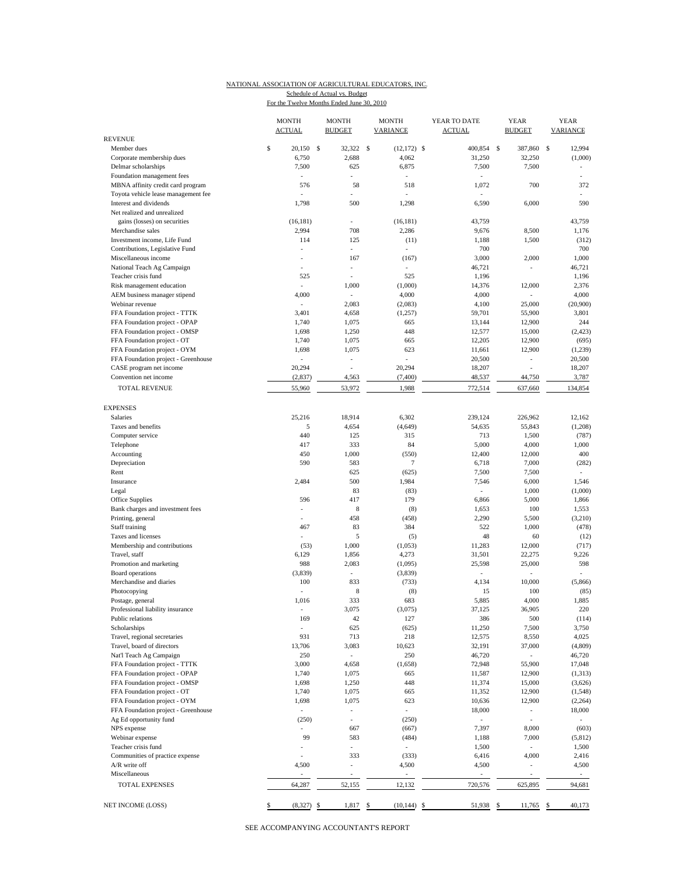#### NATIONAL ASSOCIATION OF AGRICULTURAL EDUCATORS, INC. For the Twelve Months Ended June 30, 2010 Schedule of Actual vs. Budget

|                                     | <b>MONTH</b><br><b>ACTUAL</b> |               | <b>MONTH</b><br><b>BUDGET</b> | <b>MONTH</b><br><b>VARIANCE</b> | YEAR TO DATE<br><b>ACTUAL</b> | <b>YEAR</b><br><b>BUDGET</b> | <b>YEAR</b><br><b>VARIANCE</b> |
|-------------------------------------|-------------------------------|---------------|-------------------------------|---------------------------------|-------------------------------|------------------------------|--------------------------------|
| <b>REVENUE</b>                      |                               |               |                               |                                 |                               |                              |                                |
| Member dues                         | \$<br>20,150                  | <sup>\$</sup> | 32,322 \$                     | $(12,172)$ \$                   | 400,854                       | - S<br>387,860               | S<br>12,994                    |
| Corporate membership dues           | 6,750                         |               | 2,688                         | 4,062                           | 31,250                        | 32,250                       | (1,000)                        |
| Delmar scholarships                 | 7,500                         |               | 625                           | 6,875                           | 7,500                         | 7,500                        | $\sim$                         |
| Foundation management fees          | ÷                             |               | ÷                             | $\sim$                          | $\overline{a}$                |                              | ÷                              |
| MBNA affinity credit card program   | 576                           |               | 58                            | 518                             | 1,072                         | 700                          | 372                            |
| Toyota vehicle lease management fee |                               |               |                               |                                 |                               |                              |                                |
| Interest and dividends              | 1,798                         |               | 500                           | 1,298                           | 6,590                         | 6,000                        | 590                            |
| Net realized and unrealized         |                               |               |                               |                                 |                               |                              |                                |
| gains (losses) on securities        | (16, 181)                     |               | $\overline{a}$                | (16, 181)                       | 43,759                        |                              | 43,759                         |
| Merchandise sales                   | 2,994                         |               | 708                           | 2,286                           | 9,676                         | 8,500                        | 1,176                          |
| Investment income, Life Fund        | 114                           |               | 125                           | (11)                            | 1,188                         | 1,500                        | (312)                          |
| Contributions, Legislative Fund     | ÷.                            |               | $\overline{\phantom{a}}$      | $\sim$                          | 700                           |                              | 700                            |
| Miscellaneous income                | $\overline{\phantom{a}}$      |               | 167                           | (167)                           | 3,000                         | 2,000                        | 1,000                          |
| National Teach Ag Campaign          |                               |               | ÷,                            |                                 | 46,721                        |                              | 46,721                         |
| Teacher crisis fund                 | 525                           |               | ÷                             | 525                             | 1,196                         |                              | 1,196                          |
| Risk management education           | ÷                             |               | 1,000                         | (1,000)                         | 14,376                        | 12,000                       | 2,376                          |
| AEM business manager stipend        | 4,000                         |               | ٠                             | 4,000                           | 4,000                         |                              | 4,000                          |
| Webinar revenue                     | $\sim$                        |               | 2,083                         | (2,083)                         | 4,100                         | 25,000                       | (20,900)                       |
| FFA Foundation project - TTTK       | 3,401                         |               | 4,658                         | (1,257)                         | 59,701                        | 55,900                       | 3,801                          |
| FFA Foundation project - OPAP       | 1,740                         |               | 1,075                         | 665                             | 13,144                        | 12,900                       | 244                            |
| FFA Foundation project - OMSP       | 1,698                         |               | 1,250                         | 448                             | 12,577                        | 15,000                       | (2, 423)                       |
| FFA Foundation project - OT         | 1,740                         |               | 1,075                         | 665                             | 12,205                        | 12,900                       | (695)                          |
| FFA Foundation project - OYM        | 1,698                         |               | 1,075                         | 623                             | 11,661                        | 12,900                       | (1,239)                        |
| FFA Foundation project - Greenhouse | $\overline{a}$                |               | ÷                             | L,                              | 20,500                        | $\overline{\phantom{a}}$     | 20,500                         |
| CASE program net income             | 20,294                        |               | ÷.                            | 20,294                          | 18,207                        | $\overline{a}$               | 18,207                         |
| Convention net income               | (2, 837)                      |               | 4,563                         | (7, 400)                        | 48,537                        | 44,750                       | 3,787                          |
|                                     |                               |               |                               |                                 |                               |                              |                                |
| <b>TOTAL REVENUE</b>                | 55,960                        |               | 53,972                        | 1,988                           | 772,514                       | 637,660                      | 134,854                        |
|                                     |                               |               |                               |                                 |                               |                              |                                |
| <b>EXPENSES</b>                     |                               |               |                               |                                 |                               |                              |                                |
| <b>Salaries</b>                     | 25,216                        |               | 18,914                        | 6,302                           | 239.124                       | 226,962                      | 12,162                         |
| Taxes and benefits                  | 5                             |               | 4,654                         | (4,649)                         | 54,635                        | 55,843                       | (1,208)                        |
| Computer service                    | 440                           |               | 125                           | 315                             | 713                           | 1,500                        | (787)                          |
| Telephone                           | 417                           |               | 333                           | 84                              | 5,000                         | 4,000                        | 1,000                          |
| Accounting                          | 450                           |               | 1,000                         | (550)                           | 12,400                        | 12,000                       | 400                            |
| Depreciation                        | 590                           |               | 583                           | $\overline{7}$                  | 6,718                         | 7,000                        | (282)                          |
| Rent                                |                               |               | 625                           | (625)                           | 7,500                         | 7,500                        | $\sim$                         |
| Insurance                           | 2,484                         |               | 500                           | 1,984                           | 7,546                         | 6,000                        | 1,546                          |
| Legal                               |                               |               | 83                            | (83)                            | ÷,                            | 1,000                        | (1,000)                        |
| Office Supplies                     | 596                           |               | 417                           | 179                             | 6,866                         | 5,000                        | 1,866                          |
| Bank charges and investment fees    |                               |               | 8                             | (8)                             | 1,653                         | 100                          | 1,553                          |
| Printing, general                   | $\overline{a}$                |               | 458                           | (458)                           | 2,290                         | 5,500                        | (3,210)                        |
| Staff training                      | 467                           |               | 83                            | 384                             | 522                           | 1,000                        | (478)                          |
| Taxes and licenses                  |                               |               | 5                             | (5)                             | 48                            | 60                           | (12)                           |
| Membership and contributions        | (53)                          |               | 1,000                         | (1,053)                         | 11,283                        | 12,000                       | (717)                          |
| Travel, staff                       | 6,129                         |               | 1,856                         | 4,273                           | 31,501                        | 22,275                       | 9,226                          |
| Promotion and marketing             | 988                           |               | 2,083                         | (1,095)                         | 25,598                        | 25,000                       | 598                            |
| Board operations                    | (3,839)                       |               | ÷,                            | (3,839)                         |                               |                              |                                |
| Merchandise and diaries             | 100                           |               | 833                           | (733)                           | 4,134                         | 10,000                       | (5,866)                        |
| Photocopying                        |                               |               | $\,$ 8 $\,$                   | (8)                             | 15                            | 100                          | (85)                           |
| Postage, general                    | 1,016                         |               | 333                           | 683                             | 5,885                         | 4,000                        | 1,885                          |
| Professional liability insurance    |                               |               | 3,075                         | (3,075)                         | 37,125                        | 36,905                       | 220                            |
| Public relations                    |                               |               |                               |                                 |                               |                              |                                |
| Scholarships                        | 169<br>÷.                     |               | 42<br>625                     | 127<br>(625)                    | 386<br>11,250                 | 500<br>7,500                 | (114)<br>3,750                 |
| Travel, regional secretaries        |                               |               |                               |                                 |                               |                              |                                |
|                                     | 931                           |               | 713                           | 218                             | 12,575                        | 8,550                        | 4,025                          |
| Travel, board of directors          | 13,706                        |               | 3,083                         | 10,623                          | 32,191                        | 37,000                       | (4, 809)                       |
| Nat'l Teach Ag Campaign             | 250                           |               | $\blacksquare$                | 250                             | 46,720                        | $\mathbb{Z}^{\times}$        | 46,720                         |
| FFA Foundation project - TTTK       | 3,000                         |               | 4,658                         | (1,658)                         | 72,948                        | 55,900                       | 17,048                         |
| FFA Foundation project - OPAP       | 1,740                         |               | 1,075                         | 665                             | 11,587                        | 12,900                       | (1,313)                        |
| FFA Foundation project - OMSP       | 1,698                         |               | 1,250                         | 448                             | 11,374                        | 15,000                       | (3,626)                        |
| FFA Foundation project - OT         | 1,740                         |               | 1,075                         | 665                             | 11,352                        | 12,900                       | (1, 548)                       |
| FFA Foundation project - OYM        | 1,698                         |               | 1,075                         | 623                             | 10,636                        | 12,900                       | (2,264)                        |
| FFA Foundation project - Greenhouse | $\sim$                        |               | $\overline{\phantom{a}}$      | $\overline{a}$                  | 18,000                        | $\sim$                       | 18,000                         |
| Ag Ed opportunity fund              | (250)                         |               | ÷,                            | (250)                           | ٠                             | $\overline{\phantom{a}}$     | $\sim$                         |
| NPS expense                         |                               |               | 667                           | (667)                           | 7,397                         | 8,000                        | (603)                          |
| Webinar expense                     | 99                            |               | 583                           | (484)                           | 1,188                         | 7,000                        | (5, 812)                       |
| Teacher crisis fund                 | ÷.                            |               | ÷,                            | $\overline{\phantom{a}}$        | 1,500                         | $\sim$                       | 1,500                          |
| Communities of practice expense     | L.                            |               | 333                           | (333)                           | 6,416                         | 4,000                        | 2,416                          |
| A/R write off                       | 4,500                         |               | $\overline{\phantom{a}}$      | 4,500                           | 4,500                         | $\overline{\phantom{a}}$     | 4,500                          |
| Miscellaneous                       |                               |               |                               | $\overline{a}$                  |                               |                              | $\omega$                       |
| <b>TOTAL EXPENSES</b>               | 64,287                        |               | 52,155                        | 12,132                          | 720,576                       | 625,895                      | 94,681                         |
|                                     |                               |               |                               |                                 |                               |                              |                                |
| NET INCOME (LOSS)                   | \$<br>(8,327)                 | \$            | 1,817                         | \$<br>$(10, 144)$ \$            | 51,938                        | \$<br>11,765                 | 40,173<br>\$                   |
|                                     |                               |               |                               |                                 |                               |                              |                                |

SEE ACCOMPANYING ACCOUNTANT'S REPORT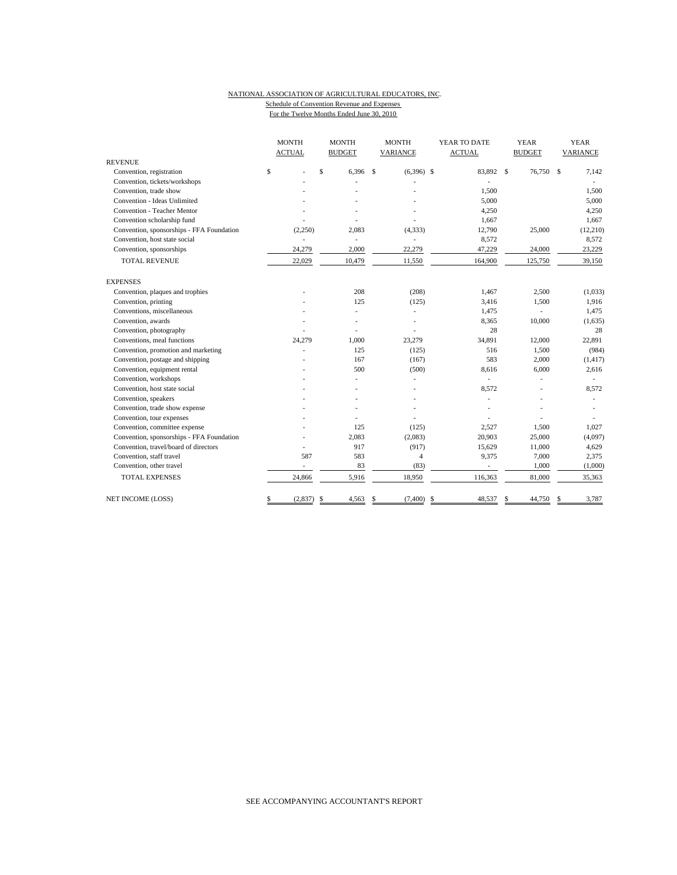#### NATIONAL ASSOCIATION OF AGRICULTURAL EDUCATORS, INC. Schedule of Convention Revenue and Expenses For the Twelve Months Ended June 30, 2010

|                                           | <b>MONTH</b><br><b>ACTUAL</b> |              | <b>MONTH</b><br><b>BUDGET</b> |              | <b>MONTH</b><br>VARIANCE | YEAR TO DATE<br><b>ACTUAL</b> |               | <b>YEAR</b><br><b>BUDGET</b> |    | <b>YEAR</b><br>VARIANCE |  |
|-------------------------------------------|-------------------------------|--------------|-------------------------------|--------------|--------------------------|-------------------------------|---------------|------------------------------|----|-------------------------|--|
| <b>REVENUE</b>                            |                               |              |                               |              |                          |                               |               |                              |    |                         |  |
| Convention, registration                  | \$                            | $\mathsf{s}$ | 6,396                         | $\mathbf{s}$ | $(6,396)$ \$             | 83,892                        | $\mathbf{s}$  | 76,750                       | -S | 7,142                   |  |
| Convention, tickets/workshops             |                               |              |                               |              |                          |                               |               |                              |    |                         |  |
| Convention, trade show                    |                               |              |                               |              |                          | 1,500                         |               |                              |    | 1,500                   |  |
| Convention - Ideas Unlimited              |                               |              |                               |              |                          | 5,000                         |               |                              |    | 5,000                   |  |
| Convention - Teacher Mentor               |                               |              |                               |              |                          | 4,250                         |               |                              |    | 4,250                   |  |
| Convention scholarship fund               |                               |              |                               |              |                          | 1,667                         |               |                              |    | 1,667                   |  |
| Convention, sponsorships - FFA Foundation | (2,250)                       |              | 2,083                         |              | (4, 333)                 | 12,790                        |               | 25,000                       |    | (12,210)                |  |
| Convention, host state social             |                               |              | ٠                             |              | ä,                       | 8,572                         |               |                              |    | 8,572                   |  |
| Convention, sponsorships                  | 24,279                        |              | 2,000                         |              | 22,279                   | 47,229                        |               | 24,000                       |    | 23,229                  |  |
| <b>TOTAL REVENUE</b>                      | 22,029                        |              | 10,479                        |              | 11,550                   | 164,900                       |               | 125,750                      |    | 39,150                  |  |
| <b>EXPENSES</b>                           |                               |              |                               |              |                          |                               |               |                              |    |                         |  |
| Convention, plaques and trophies          |                               |              | 208                           |              | (208)                    | 1,467                         |               | 2,500                        |    | (1,033)                 |  |
| Convention, printing                      |                               |              | 125                           |              | (125)                    | 3,416                         |               | 1,500                        |    | 1,916                   |  |
| Conventions, miscellaneous                |                               |              |                               |              | ÷,                       | 1,475                         |               |                              |    | 1,475                   |  |
| Convention, awards                        |                               |              |                               |              |                          | 8,365                         |               | 10,000                       |    | (1,635)                 |  |
| Convention, photography                   |                               |              |                               |              |                          | 28                            |               |                              |    | 28                      |  |
| Conventions, meal functions               | 24,279                        |              | 1,000                         |              | 23,279                   | 34,891                        |               | 12,000                       |    | 22,891                  |  |
| Convention, promotion and marketing       |                               |              | 125                           |              | (125)                    | 516                           |               | 1,500                        |    | (984)                   |  |
| Convention, postage and shipping          |                               |              | 167                           |              | (167)                    | 583                           |               | 2,000                        |    | (1, 417)                |  |
| Convention, equipment rental              |                               |              | 500                           |              | (500)                    | 8,616                         |               | 6,000                        |    | 2,616                   |  |
| Convention, workshops                     |                               |              |                               |              |                          |                               |               |                              |    |                         |  |
| Convention, host state social             |                               |              |                               |              |                          | 8,572                         |               | ä,                           |    | 8,572                   |  |
| Convention, speakers                      |                               |              |                               |              |                          |                               |               |                              |    |                         |  |
| Convention, trade show expense            |                               |              |                               |              |                          |                               |               |                              |    |                         |  |
| Convention, tour expenses                 |                               |              |                               |              |                          |                               |               |                              |    |                         |  |
| Convention, committee expense             |                               |              | 125                           |              | (125)                    | 2,527                         |               | 1,500                        |    | 1,027                   |  |
| Convention, sponsorships - FFA Foundation |                               |              | 2,083                         |              | (2,083)                  | 20,903                        |               | 25,000                       |    | (4,097)                 |  |
| Convention, travel/board of directors     |                               |              | 917                           |              | (917)                    | 15,629                        |               | 11,000                       |    | 4,629                   |  |
| Convention, staff travel                  | 587                           |              | 583                           |              | $\overline{4}$           | 9,375                         |               | 7,000                        |    | 2,375                   |  |
| Convention, other travel                  | $\frac{1}{2}$                 |              | 83                            |              | (83)                     |                               |               | 1,000                        |    | (1,000)                 |  |
| <b>TOTAL EXPENSES</b>                     | 24,866                        |              | 5,916                         |              | 18,950                   | 116,363                       |               | 81,000                       |    | 35,363                  |  |
| <b>NET INCOME (LOSS)</b>                  | \$<br>$(2,837)$ \$            |              | 4,563                         | \$           | $(7,400)$ \$             | 48,537                        | <sup>\$</sup> | 44,750                       | \$ | 3,787                   |  |